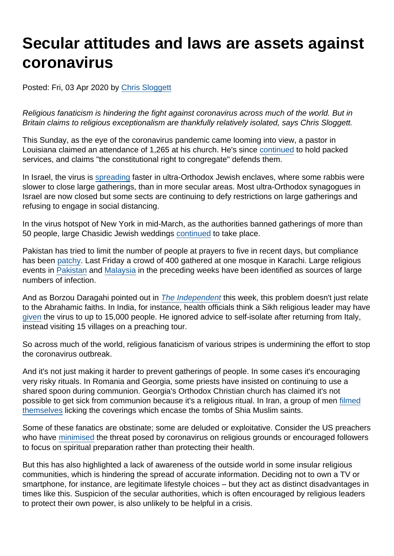## Secular attitudes and laws are assets against coronavirus

Posted: Fri, 03 Apr 2020 by [Chris Sloggett](https://www.secularism.org.uk/opinion/authors/968)

Religious fanaticism is hindering the fight against coronavirus across much of the world. But in Britain claims to religious exceptionalism are thankfully relatively isolated, says Chris Sloggett.

This Sunday, as the eye of the coronavirus pandemic came looming into view, a pastor in Louisiana claimed an attendance of 1,265 at his church. He's since [continued](https://www.cbsnews.com/news/coronavirus-louisiana-life-tabernacle-church-packed-services-again-charges-against-pastor-tony-spell/) to hold packed services, and claims "the constitutional right to congregate" defends them.

In Israel, the virus is [spreading](https://www.haaretz.com/israel-news/.premium-sharp-spike-in-coronavirus-cases-found-in-israeli-ultra-orthodox-neighborhoods-1.8719637) faster in ultra-Orthodox Jewish enclaves, where some rabbis were slower to close large gatherings, than in more secular areas. Most ultra-Orthodox synagogues in Israel are now closed but some sects are continuing to defy restrictions on large gatherings and refusing to engage in social distancing.

In the virus hotspot of New York in mid-March, as the authorities banned gatherings of more than 50 people, large Chasidic Jewish weddings [continued](https://www.nytimes.com/2020/03/17/nyregion/coronavirus-hasidic-weddings-brooklyn.html) to take place.

Pakistan has tried to limit the number of people at prayers to five in recent days, but compliance has been [patchy](https://uk.reuters.com/article/uk-health-coronavirus-southasia-prayers/pakistan-struggles-to-limit-islamic-prayers-to-stem-coronavirus-idUKKBN21E31B). Last Friday a crowd of 400 gathered at one mosque in Karachi. Large religious events in [Pakistan](https://www.haaretz.com/opinion/.premium-how-pakistan-became-a-coronavirus-super-spreader-to-the-muslim-world-1.8708783) and [Malaysia](https://www.reuters.com/article/us-health-coronavirus-malaysia/malaysia-reports-190-new-coronavirus-cases-most-linked-to-mosque-event-idUSKBN2120BE) in the preceding weeks have been identified as sources of large numbers of infection.

And as Borzou Daragahi pointed out in [The Independent](https://www.independent.co.uk/independentpremium/voices/coronavirus-religious-extremism-iran-united-states-pakistan-israel-india-a9433181.html) this week, this problem doesn't just relate to the Abrahamic faiths. In India, for instance, health officials think a Sikh religious leader may have [given](https://news.yahoo.com/super-spreader-guru-puts-indian-villages-high-alert-092109976.html) the virus to up to 15,000 people. He ignored advice to self-isolate after returning from Italy, instead visiting 15 villages on a preaching tour.

So across much of the world, religious fanaticism of various stripes is undermining the effort to stop the coronavirus outbreak.

And it's not just making it harder to prevent gatherings of people. In some cases it's encouraging very risky rituals. In Romania and Georgia, some priests have insisted on continuing to use a shared spoon during communion. Georgia's Orthodox Christian church has claimed it's not possible to get sick from communion because it's a religious ritual. In Iran, a group of men [filmed](https://www.independent.co.uk/independentpremium/voices/coronavirus-religious-extremism-iran-united-states-pakistan-israel-india-a9433181.html) [themselves](https://www.independent.co.uk/independentpremium/voices/coronavirus-religious-extremism-iran-united-states-pakistan-israel-india-a9433181.html) licking the coverings which encase the tombs of Shia Muslim saints.

Some of these fanatics are obstinate; some are deluded or exploitative. Consider the US preachers who have [minimised](https://theconversation.com/coronavirus-trump-and-religious-right-rely-on-faith-not-science-134508) the threat posed by coronavirus on religious grounds or encouraged followers to focus on spiritual preparation rather than protecting their health.

But this has also highlighted a lack of awareness of the outside world in some insular religious communities, which is hindering the spread of accurate information. Deciding not to own a TV or smartphone, for instance, are legitimate lifestyle choices – but they act as distinct disadvantages in times like this. Suspicion of the secular authorities, which is often encouraged by religious leaders to protect their own power, is also unlikely to be helpful in a crisis.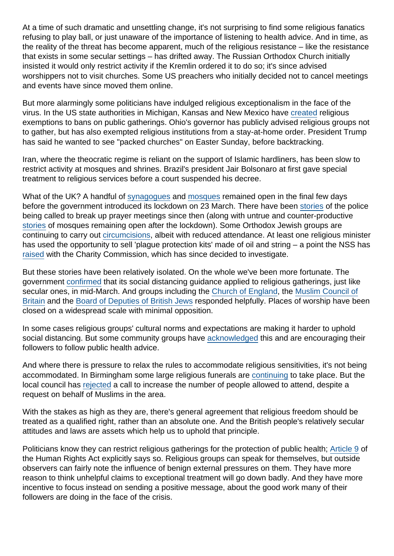At a time of such dramatic and unsettling change, it's not surprising to find some religious fanatics refusing to play ball, or just unaware of the importance of listening to health advice. And in time, as the reality of the threat has become apparent, much of the religious resistance – like the resistance that exists in some secular settings – has drifted away. The Russian Orthodox Church initially insisted it would only restrict activity if the Kremlin ordered it to do so; it's since advised worshippers not to visit churches. Some US preachers who initially decided not to cancel meetings and events have since moved them online.

But more alarmingly some politicians have indulged religious exceptionalism in the face of the virus. In the US state authorities in Michigan, Kansas and New Mexico have [created](https://www.au.org/media/press-releases/religious-services-shouldnt-be-excluded-from-bans-against-large-gatherings-to) religious exemptions to bans on public gatherings. Ohio's governor has publicly advised religious groups not to gather, but has also exempted religious institutions from a stay-at-home order. President Trump has said he wanted to see "packed churches" on Easter Sunday, before backtracking.

Iran, where the theocratic regime is reliant on the support of Islamic hardliners, has been slow to restrict activity at mosques and shrines. Brazil's president Jair Bolsonaro at first gave special treatment to religious services before a court suspended his decree.

What of the UK? A handful of [synagogues](https://www.theguardian.com/world/2020/mar/23/concern-ultra-orthodox-jews-not-get-message-coronavirus) and [mosques](https://www.lep.co.uk/health/coronavirus/prestons-mosques-advised-suspend-friday-prayers-due-coronavirus-2503539) remained open in the final few days before the government introduced its lockdown on 23 March. There have been [stories](https://www.thejc.com/news/uk-news/police-called-to-stamford-hill-to-stop-outdoor-prayer-meetings-1.498581) of the police being called to break up prayer meetings since then (along with untrue and counter-productive [stories](https://twitter.com/MaajidNawaz/status/1244573332974063617) of mosques remaining open after the lockdown). Some Orthodox Jewish groups are continuing to carry out [circumcisions](https://www.thejc.com/news/uk-news/progressive-movements-suspend-circumcision-ceremonies-while-orthodox-minimises-attendance-1.498457), albeit with reduced attendance. At least one religious minister has used the opportunity to sell 'plague protection kits' made of oil and string – a point the NSS has [raised](https://www.secularism.org.uk/news/2020/04/charity-regulator-to-look-into-sale-of-coronavirus-protection-kits) with the Charity Commission, which has since decided to investigate.

But these stories have been relatively isolated. On the whole we've been more fortunate. The government [confirmed](https://www.christiantoday.com/article/coronavirus-social-distance-guidance-applies-to-religious-gatherings-says-matt-hancock/134464.htm) that its social distancing guidance applied to religious gatherings, just like secular ones, in mid-March. And groups including the [Church of England,](https://www.theguardian.com/world/2020/mar/17/church-of-england-suspends-services-coronavirus) the [Muslim Council of](https://mcb.org.uk/press-releases/mcb-calls-for-the-suspension-of-congregational-activities-at-uk-mosques-and-islamic-centres/) [Britain](https://mcb.org.uk/press-releases/mcb-calls-for-the-suspension-of-congregational-activities-at-uk-mosques-and-islamic-centres/) and the [Board of Deputies of British Jews](https://www.bod.org.uk/coronavirus/) responded helpfully. Places of worship have been closed on a widespread scale with minimal opposition.

In some cases religious groups' cultural norms and expectations are making it harder to uphold social distancing. But some community groups have [acknowledged](https://www.birminghammail.co.uk/black-country/fears-muslims-greater-risk-covid-18020409) this and are encouraging their followers to follow public health advice.

And where there is pressure to relax the rules to accommodate religious sensitivities, it's not being accommodated. In Birmingham some large religious funerals are [continuing](https://www.birminghammail.co.uk/news/midlands-news/police-chief-slams-city-mp-18033261) to take place. But the local council has [rejected](https://www.birminghammail.co.uk/news/midlands-news/request-increase-funeral-sizes-birmingham-18031396) a call to increase the number of people allowed to attend, despite a request on behalf of Muslims in the area.

With the stakes as high as they are, there's general agreement that religious freedom should be treated as a qualified right, rather than an absolute one. And the British people's relatively secular attitudes and laws are assets which help us to uphold that principle.

Politicians know they can restrict religious gatherings for the protection of public health; [Article 9](http://www.legislation.gov.uk/ukpga/1998/42/schedule/1/part/I/chapter/8) of the Human Rights Act explicitly says so. Religious groups can speak for themselves, but outside observers can fairly note the influence of benign external pressures on them. They have more reason to think unhelpful claims to exceptional treatment will go down badly. And they have more incentive to focus instead on sending a positive message, about the good work many of their followers are doing in the face of the crisis.